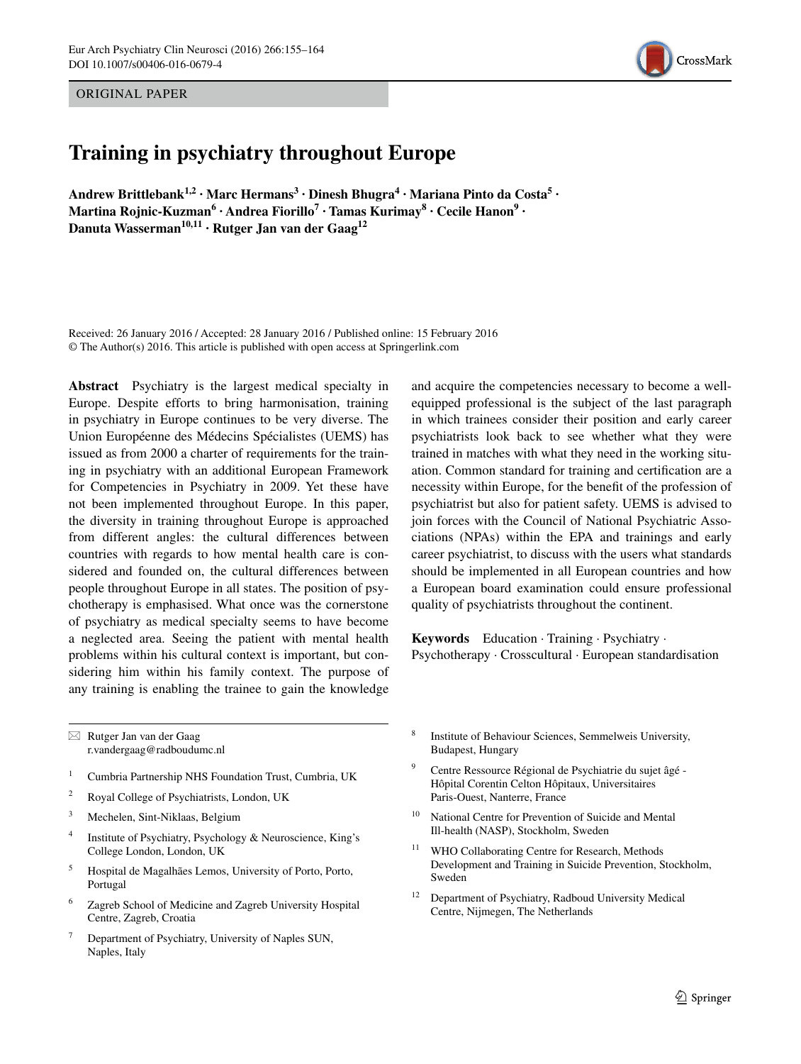ORIGINAL PAPER



# **Training in psychiatry throughout Europe**

**Andrew Brittlebank1,2 · Marc Hermans3 · Dinesh Bhugra4 · Mariana Pinto da Costa5 · Martina Rojnic‑Kuzman<sup>6</sup> · Andrea Fiorillo7 · Tamas Kurimay8 · Cecile Hanon9 · Danuta Wasserman10,11 · Rutger Jan van der Gaag12**

Received: 26 January 2016 / Accepted: 28 January 2016 / Published online: 15 February 2016 © The Author(s) 2016. This article is published with open access at Springerlink.com

**Abstract** Psychiatry is the largest medical specialty in Europe. Despite efforts to bring harmonisation, training in psychiatry in Europe continues to be very diverse. The Union Européenne des Médecins Spécialistes (UEMS) has issued as from 2000 a charter of requirements for the training in psychiatry with an additional European Framework for Competencies in Psychiatry in 2009. Yet these have not been implemented throughout Europe. In this paper, the diversity in training throughout Europe is approached from different angles: the cultural differences between countries with regards to how mental health care is considered and founded on, the cultural differences between people throughout Europe in all states. The position of psychotherapy is emphasised. What once was the cornerstone of psychiatry as medical specialty seems to have become a neglected area. Seeing the patient with mental health problems within his cultural context is important, but considering him within his family context. The purpose of any training is enabling the trainee to gain the knowledge

and acquire the competencies necessary to become a wellequipped professional is the subject of the last paragraph in which trainees consider their position and early career psychiatrists look back to see whether what they were trained in matches with what they need in the working situation. Common standard for training and certification are a necessity within Europe, for the benefit of the profession of psychiatrist but also for patient safety. UEMS is advised to join forces with the Council of National Psychiatric Associations (NPAs) within the EPA and trainings and early career psychiatrist, to discuss with the users what standards should be implemented in all European countries and how a European board examination could ensure professional quality of psychiatrists throughout the continent.

**Keywords** Education · Training · Psychiatry · Psychotherapy · Crosscultural · European standardisation

 $\boxtimes$  Rutger Jan van der Gaag r.vandergaag@radboudumc.nl

- <sup>1</sup> Cumbria Partnership NHS Foundation Trust, Cumbria, UK
- <sup>2</sup> Royal College of Psychiatrists, London, UK
- <sup>3</sup> Mechelen, Sint-Niklaas, Belgium
- <sup>4</sup> Institute of Psychiatry, Psychology & Neuroscience, King's College London, London, UK
- <sup>5</sup> Hospital de Magalhães Lemos, University of Porto, Porto, Portugal
- <sup>6</sup> Zagreb School of Medicine and Zagreb University Hospital Centre, Zagreb, Croatia
- Department of Psychiatry, University of Naples SUN, Naples, Italy
- <sup>8</sup> Institute of Behaviour Sciences, Semmelweis University, Budapest, Hungary
- <sup>9</sup> Centre Ressource Régional de Psychiatrie du sujet âgé Hôpital Corentin Celton Hôpitaux, Universitaires Paris-Ouest, Nanterre, France
- <sup>10</sup> National Centre for Prevention of Suicide and Mental Ill-health (NASP), Stockholm, Sweden
- WHO Collaborating Centre for Research, Methods Development and Training in Suicide Prevention, Stockholm, Sweden
- <sup>12</sup> Department of Psychiatry, Radboud University Medical Centre, Nijmegen, The Netherlands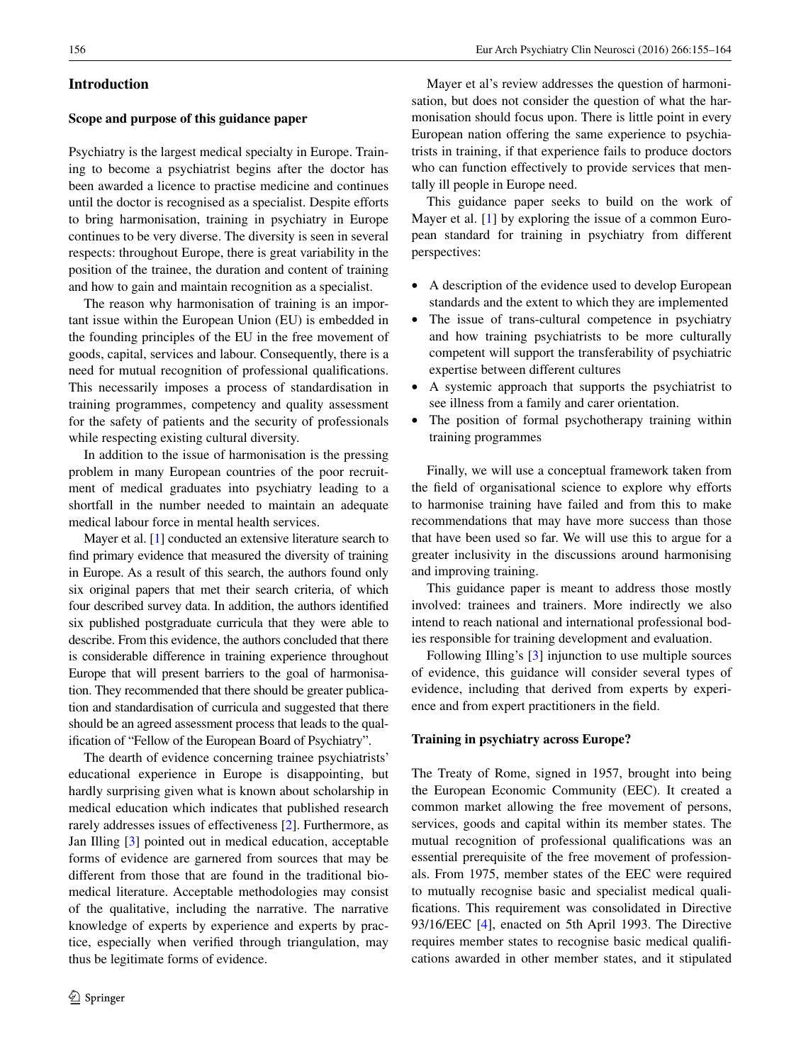### **Introduction**

### **Scope and purpose of this guidance paper**

Psychiatry is the largest medical specialty in Europe. Training to become a psychiatrist begins after the doctor has been awarded a licence to practise medicine and continues until the doctor is recognised as a specialist. Despite efforts to bring harmonisation, training in psychiatry in Europe continues to be very diverse. The diversity is seen in several respects: throughout Europe, there is great variability in the position of the trainee, the duration and content of training and how to gain and maintain recognition as a specialist.

The reason why harmonisation of training is an important issue within the European Union (EU) is embedded in the founding principles of the EU in the free movement of goods, capital, services and labour. Consequently, there is a need for mutual recognition of professional qualifications. This necessarily imposes a process of standardisation in training programmes, competency and quality assessment for the safety of patients and the security of professionals while respecting existing cultural diversity.

In addition to the issue of harmonisation is the pressing problem in many European countries of the poor recruitment of medical graduates into psychiatry leading to a shortfall in the number needed to maintain an adequate medical labour force in mental health services.

Mayer et al. [[1](#page-9-0)] conducted an extensive literature search to find primary evidence that measured the diversity of training in Europe. As a result of this search, the authors found only six original papers that met their search criteria, of which four described survey data. In addition, the authors identified six published postgraduate curricula that they were able to describe. From this evidence, the authors concluded that there is considerable difference in training experience throughout Europe that will present barriers to the goal of harmonisation. They recommended that there should be greater publication and standardisation of curricula and suggested that there should be an agreed assessment process that leads to the qualification of "Fellow of the European Board of Psychiatry".

The dearth of evidence concerning trainee psychiatrists' educational experience in Europe is disappointing, but hardly surprising given what is known about scholarship in medical education which indicates that published research rarely addresses issues of effectiveness [\[2](#page-9-1)]. Furthermore, as Jan Illing [[3\]](#page-9-2) pointed out in medical education, acceptable forms of evidence are garnered from sources that may be different from those that are found in the traditional biomedical literature. Acceptable methodologies may consist of the qualitative, including the narrative. The narrative knowledge of experts by experience and experts by practice, especially when verified through triangulation, may thus be legitimate forms of evidence.

Mayer et al's review addresses the question of harmonisation, but does not consider the question of what the harmonisation should focus upon. There is little point in every European nation offering the same experience to psychiatrists in training, if that experience fails to produce doctors who can function effectively to provide services that mentally ill people in Europe need.

This guidance paper seeks to build on the work of Mayer et al. [\[1](#page-9-0)] by exploring the issue of a common European standard for training in psychiatry from different perspectives:

- A description of the evidence used to develop European standards and the extent to which they are implemented
- The issue of trans-cultural competence in psychiatry and how training psychiatrists to be more culturally competent will support the transferability of psychiatric expertise between different cultures
- • A systemic approach that supports the psychiatrist to see illness from a family and carer orientation.
- The position of formal psychotherapy training within training programmes

Finally, we will use a conceptual framework taken from the field of organisational science to explore why efforts to harmonise training have failed and from this to make recommendations that may have more success than those that have been used so far. We will use this to argue for a greater inclusivity in the discussions around harmonising and improving training.

This guidance paper is meant to address those mostly involved: trainees and trainers. More indirectly we also intend to reach national and international professional bodies responsible for training development and evaluation.

Following Illing's [[3\]](#page-9-2) injunction to use multiple sources of evidence, this guidance will consider several types of evidence, including that derived from experts by experience and from expert practitioners in the field.

#### **Training in psychiatry across Europe?**

The Treaty of Rome, signed in 1957, brought into being the European Economic Community (EEC). It created a common market allowing the free movement of persons, services, goods and capital within its member states. The mutual recognition of professional qualifications was an essential prerequisite of the free movement of professionals. From 1975, member states of the EEC were required to mutually recognise basic and specialist medical qualifications. This requirement was consolidated in Directive 93/16/EEC [[4\]](#page-9-3), enacted on 5th April 1993. The Directive requires member states to recognise basic medical qualifications awarded in other member states, and it stipulated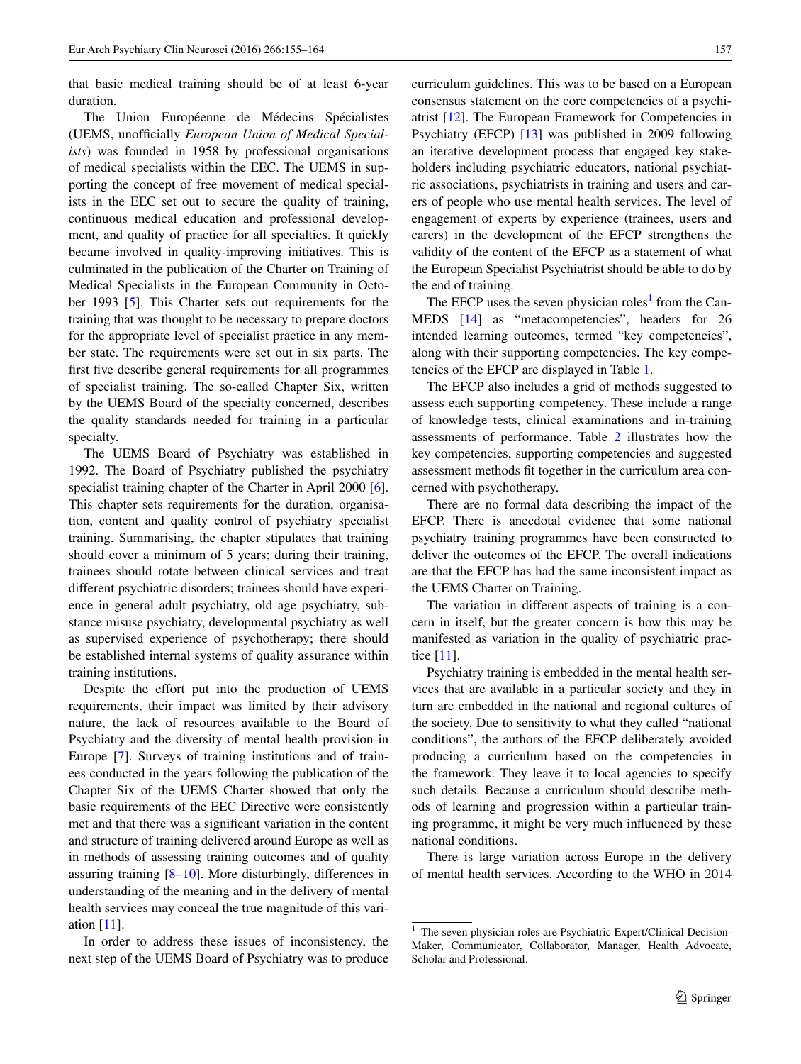that basic medical training should be of at least 6-year duration.

The Union Européenne de Médecins Spécialistes (UEMS, unofficially *European Union of Medical Specialists*) was founded in 1958 by professional organisations of medical specialists within the EEC. The UEMS in supporting the concept of free movement of medical specialists in the EEC set out to secure the quality of training, continuous medical education and professional development, and quality of practice for all specialties. It quickly became involved in quality-improving initiatives. This is culminated in the publication of the Charter on Training of Medical Specialists in the European Community in October 1993 [[5\]](#page-9-4). This Charter sets out requirements for the training that was thought to be necessary to prepare doctors for the appropriate level of specialist practice in any member state. The requirements were set out in six parts. The first five describe general requirements for all programmes of specialist training. The so-called Chapter Six, written by the UEMS Board of the specialty concerned, describes the quality standards needed for training in a particular specialty.

The UEMS Board of Psychiatry was established in 1992. The Board of Psychiatry published the psychiatry specialist training chapter of the Charter in April 2000 [\[6](#page-9-5)]. This chapter sets requirements for the duration, organisation, content and quality control of psychiatry specialist training. Summarising, the chapter stipulates that training should cover a minimum of 5 years; during their training, trainees should rotate between clinical services and treat different psychiatric disorders; trainees should have experience in general adult psychiatry, old age psychiatry, substance misuse psychiatry, developmental psychiatry as well as supervised experience of psychotherapy; there should be established internal systems of quality assurance within training institutions.

Despite the effort put into the production of UEMS requirements, their impact was limited by their advisory nature, the lack of resources available to the Board of Psychiatry and the diversity of mental health provision in Europe [[7\]](#page-9-6). Surveys of training institutions and of trainees conducted in the years following the publication of the Chapter Six of the UEMS Charter showed that only the basic requirements of the EEC Directive were consistently met and that there was a significant variation in the content and structure of training delivered around Europe as well as in methods of assessing training outcomes and of quality assuring training  $[8-10]$  $[8-10]$ . More disturbingly, differences in understanding of the meaning and in the delivery of mental health services may conceal the true magnitude of this variation [[11\]](#page-9-9).

In order to address these issues of inconsistency, the next step of the UEMS Board of Psychiatry was to produce curriculum guidelines. This was to be based on a European consensus statement on the core competencies of a psychiatrist [[12\]](#page-9-10). The European Framework for Competencies in Psychiatry (EFCP) [\[13](#page-9-11)] was published in 2009 following an iterative development process that engaged key stakeholders including psychiatric educators, national psychiatric associations, psychiatrists in training and users and carers of people who use mental health services. The level of engagement of experts by experience (trainees, users and carers) in the development of the EFCP strengthens the validity of the content of the EFCP as a statement of what the European Specialist Psychiatrist should be able to do by the end of training.

The EFCP uses the seven physician roles<sup>[1](#page-2-0)</sup> from the Can-MEDS [\[14](#page-9-12)] as "metacompetencies", headers for 26 intended learning outcomes, termed "key competencies", along with their supporting competencies. The key competencies of the EFCP are displayed in Table [1](#page-3-0).

The EFCP also includes a grid of methods suggested to assess each supporting competency. These include a range of knowledge tests, clinical examinations and in-training assessments of performance. Table [2](#page-3-1) illustrates how the key competencies, supporting competencies and suggested assessment methods fit together in the curriculum area concerned with psychotherapy.

There are no formal data describing the impact of the EFCP. There is anecdotal evidence that some national psychiatry training programmes have been constructed to deliver the outcomes of the EFCP. The overall indications are that the EFCP has had the same inconsistent impact as the UEMS Charter on Training.

The variation in different aspects of training is a concern in itself, but the greater concern is how this may be manifested as variation in the quality of psychiatric practice [\[11](#page-9-9)].

Psychiatry training is embedded in the mental health services that are available in a particular society and they in turn are embedded in the national and regional cultures of the society. Due to sensitivity to what they called "national conditions", the authors of the EFCP deliberately avoided producing a curriculum based on the competencies in the framework. They leave it to local agencies to specify such details. Because a curriculum should describe methods of learning and progression within a particular training programme, it might be very much influenced by these national conditions.

There is large variation across Europe in the delivery of mental health services. According to the WHO in 2014

<span id="page-2-0"></span><sup>&</sup>lt;sup>1</sup> The seven physician roles are Psychiatric Expert/Clinical Decision-Maker, Communicator, Collaborator, Manager, Health Advocate, Scholar and Professional.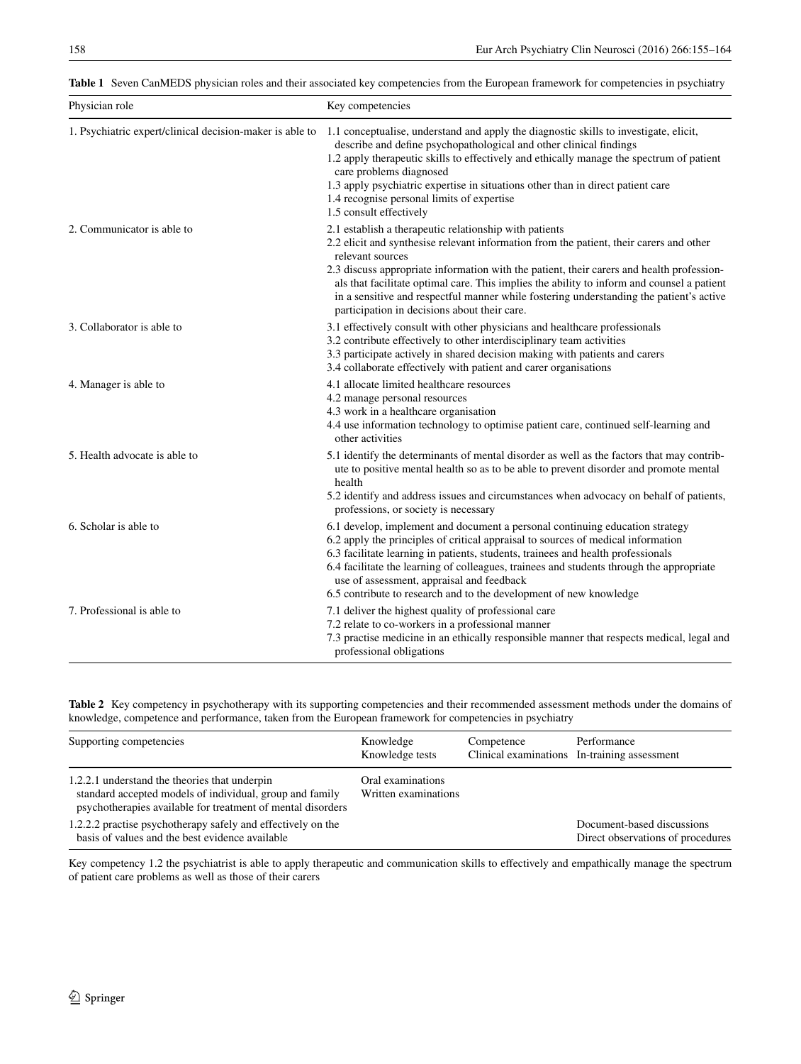<span id="page-3-0"></span>**Table 1** Seven CanMEDS physician roles and their associated key competencies from the European framework for competencies in psychiatry

| Physician role                                           | Key competencies                                                                                                                                                                                                                                                                                                                                                                                                                                                                                                                                                                                                                                                                                                                                                                                                                                                                                                                                              |  |  |
|----------------------------------------------------------|---------------------------------------------------------------------------------------------------------------------------------------------------------------------------------------------------------------------------------------------------------------------------------------------------------------------------------------------------------------------------------------------------------------------------------------------------------------------------------------------------------------------------------------------------------------------------------------------------------------------------------------------------------------------------------------------------------------------------------------------------------------------------------------------------------------------------------------------------------------------------------------------------------------------------------------------------------------|--|--|
| 1. Psychiatric expert/clinical decision-maker is able to | 1.1 conceptualise, understand and apply the diagnostic skills to investigate, elicit,<br>describe and define psychopathological and other clinical findings<br>1.2 apply therapeutic skills to effectively and ethically manage the spectrum of patient<br>care problems diagnosed<br>1.3 apply psychiatric expertise in situations other than in direct patient care<br>1.4 recognise personal limits of expertise<br>1.5 consult effectively<br>2.1 establish a therapeutic relationship with patients<br>2.2 elicit and synthesise relevant information from the patient, their carers and other<br>relevant sources<br>2.3 discuss appropriate information with the patient, their carers and health profession-<br>als that facilitate optimal care. This implies the ability to inform and counsel a patient<br>in a sensitive and respectful manner while fostering understanding the patient's active<br>participation in decisions about their care. |  |  |
| 2. Communicator is able to                               |                                                                                                                                                                                                                                                                                                                                                                                                                                                                                                                                                                                                                                                                                                                                                                                                                                                                                                                                                               |  |  |
| 3. Collaborator is able to                               | 3.1 effectively consult with other physicians and healthcare professionals<br>3.2 contribute effectively to other interdisciplinary team activities<br>3.3 participate actively in shared decision making with patients and carers<br>3.4 collaborate effectively with patient and carer organisations                                                                                                                                                                                                                                                                                                                                                                                                                                                                                                                                                                                                                                                        |  |  |
| 4. Manager is able to                                    | 4.1 allocate limited healthcare resources<br>4.2 manage personal resources<br>4.3 work in a healthcare organisation<br>4.4 use information technology to optimise patient care, continued self-learning and<br>other activities                                                                                                                                                                                                                                                                                                                                                                                                                                                                                                                                                                                                                                                                                                                               |  |  |
| 5. Health advocate is able to                            | 5.1 identify the determinants of mental disorder as well as the factors that may contrib-<br>ute to positive mental health so as to be able to prevent disorder and promote mental<br>health<br>5.2 identify and address issues and circumstances when advocacy on behalf of patients,<br>professions, or society is necessary                                                                                                                                                                                                                                                                                                                                                                                                                                                                                                                                                                                                                                |  |  |
| 6. Scholar is able to                                    | 6.1 develop, implement and document a personal continuing education strategy<br>6.2 apply the principles of critical appraisal to sources of medical information<br>6.3 facilitate learning in patients, students, trainees and health professionals<br>6.4 facilitate the learning of colleagues, trainees and students through the appropriate<br>use of assessment, appraisal and feedback<br>6.5 contribute to research and to the development of new knowledge                                                                                                                                                                                                                                                                                                                                                                                                                                                                                           |  |  |
| 7. Professional is able to                               | 7.1 deliver the highest quality of professional care<br>7.2 relate to co-workers in a professional manner<br>7.3 practise medicine in an ethically responsible manner that respects medical, legal and<br>professional obligations                                                                                                                                                                                                                                                                                                                                                                                                                                                                                                                                                                                                                                                                                                                            |  |  |

<span id="page-3-1"></span>**Table 2** Key competency in psychotherapy with its supporting competencies and their recommended assessment methods under the domains of knowledge, competence and performance, taken from the European framework for competencies in psychiatry

| Supporting competencies                                                                                                                                                  | Knowledge<br>Knowledge tests              | Competence | Performance<br>Clinical examinations In-training assessment     |
|--------------------------------------------------------------------------------------------------------------------------------------------------------------------------|-------------------------------------------|------------|-----------------------------------------------------------------|
| 1.2.2.1 understand the theories that underpin<br>standard accepted models of individual, group and family<br>psychotherapies available for treatment of mental disorders | Oral examinations<br>Written examinations |            |                                                                 |
| 1.2.2.2 practise psychotherapy safely and effectively on the<br>basis of values and the best evidence available                                                          |                                           |            | Document-based discussions<br>Direct observations of procedures |

Key competency 1.2 the psychiatrist is able to apply therapeutic and communication skills to effectively and empathically manage the spectrum of patient care problems as well as those of their carers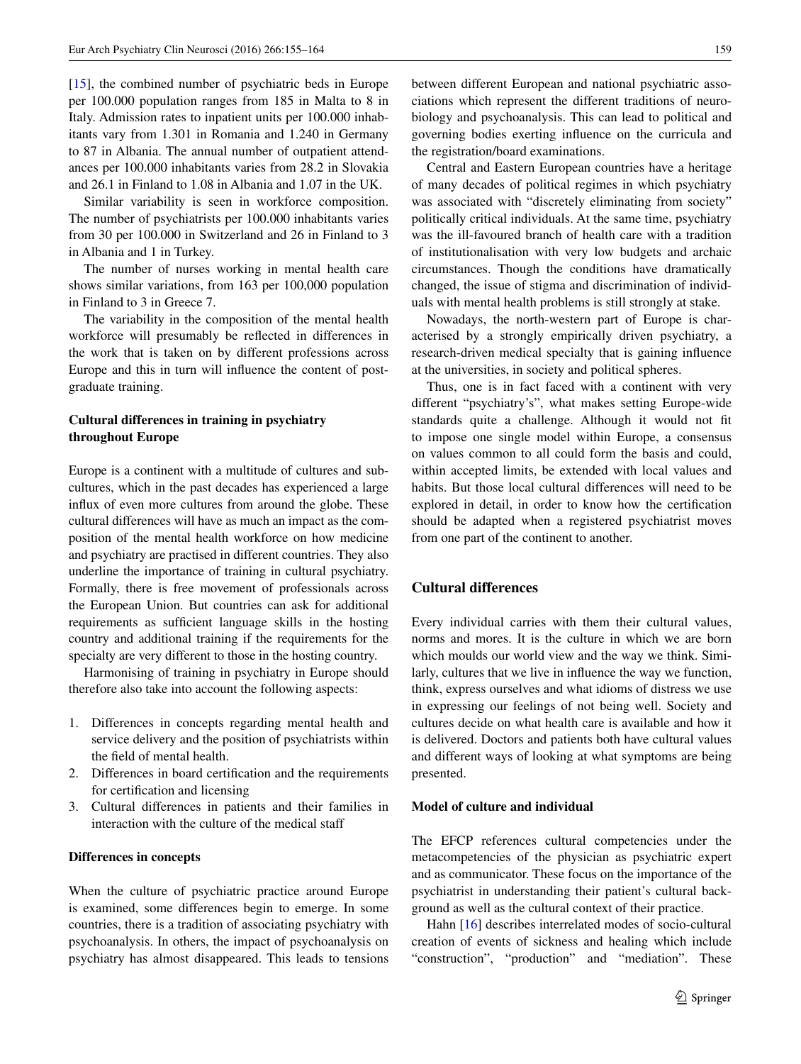$[15]$  $[15]$ , the combined number of psychiatric beds in Europe per 100.000 population ranges from 185 in Malta to 8 in Italy. Admission rates to inpatient units per 100.000 inhabitants vary from 1.301 in Romania and 1.240 in Germany to 87 in Albania. The annual number of outpatient attendances per 100.000 inhabitants varies from 28.2 in Slovakia and 26.1 in Finland to 1.08 in Albania and 1.07 in the UK.

Similar variability is seen in workforce composition. The number of psychiatrists per 100.000 inhabitants varies from 30 per 100.000 in Switzerland and 26 in Finland to 3 in Albania and 1 in Turkey.

The number of nurses working in mental health care shows similar variations, from 163 per 100,000 population in Finland to 3 in Greece 7.

The variability in the composition of the mental health workforce will presumably be reflected in differences in the work that is taken on by different professions across Europe and this in turn will influence the content of postgraduate training.

# **Cultural differences in training in psychiatry throughout Europe**

Europe is a continent with a multitude of cultures and subcultures, which in the past decades has experienced a large influx of even more cultures from around the globe. These cultural differences will have as much an impact as the composition of the mental health workforce on how medicine and psychiatry are practised in different countries. They also underline the importance of training in cultural psychiatry. Formally, there is free movement of professionals across the European Union. But countries can ask for additional requirements as sufficient language skills in the hosting country and additional training if the requirements for the specialty are very different to those in the hosting country.

Harmonising of training in psychiatry in Europe should therefore also take into account the following aspects:

- 1. Differences in concepts regarding mental health and service delivery and the position of psychiatrists within the field of mental health.
- 2. Differences in board certification and the requirements for certification and licensing
- 3. Cultural differences in patients and their families in interaction with the culture of the medical staff

### **Differences in concepts**

When the culture of psychiatric practice around Europe is examined, some differences begin to emerge. In some countries, there is a tradition of associating psychiatry with psychoanalysis. In others, the impact of psychoanalysis on psychiatry has almost disappeared. This leads to tensions between different European and national psychiatric associations which represent the different traditions of neurobiology and psychoanalysis. This can lead to political and governing bodies exerting influence on the curricula and the registration/board examinations.

Central and Eastern European countries have a heritage of many decades of political regimes in which psychiatry was associated with "discretely eliminating from society" politically critical individuals. At the same time, psychiatry was the ill-favoured branch of health care with a tradition of institutionalisation with very low budgets and archaic circumstances. Though the conditions have dramatically changed, the issue of stigma and discrimination of individuals with mental health problems is still strongly at stake.

Nowadays, the north-western part of Europe is characterised by a strongly empirically driven psychiatry, a research-driven medical specialty that is gaining influence at the universities, in society and political spheres.

Thus, one is in fact faced with a continent with very different "psychiatry's", what makes setting Europe-wide standards quite a challenge. Although it would not fit to impose one single model within Europe, a consensus on values common to all could form the basis and could, within accepted limits, be extended with local values and habits. But those local cultural differences will need to be explored in detail, in order to know how the certification should be adapted when a registered psychiatrist moves from one part of the continent to another.

### **Cultural differences**

Every individual carries with them their cultural values, norms and mores. It is the culture in which we are born which moulds our world view and the way we think. Similarly, cultures that we live in influence the way we function, think, express ourselves and what idioms of distress we use in expressing our feelings of not being well. Society and cultures decide on what health care is available and how it is delivered. Doctors and patients both have cultural values and different ways of looking at what symptoms are being presented.

### **Model of culture and individual**

The EFCP references cultural competencies under the metacompetencies of the physician as psychiatric expert and as communicator. These focus on the importance of the psychiatrist in understanding their patient's cultural background as well as the cultural context of their practice.

Hahn [\[16](#page-9-14)] describes interrelated modes of socio-cultural creation of events of sickness and healing which include "construction", "production" and "mediation". These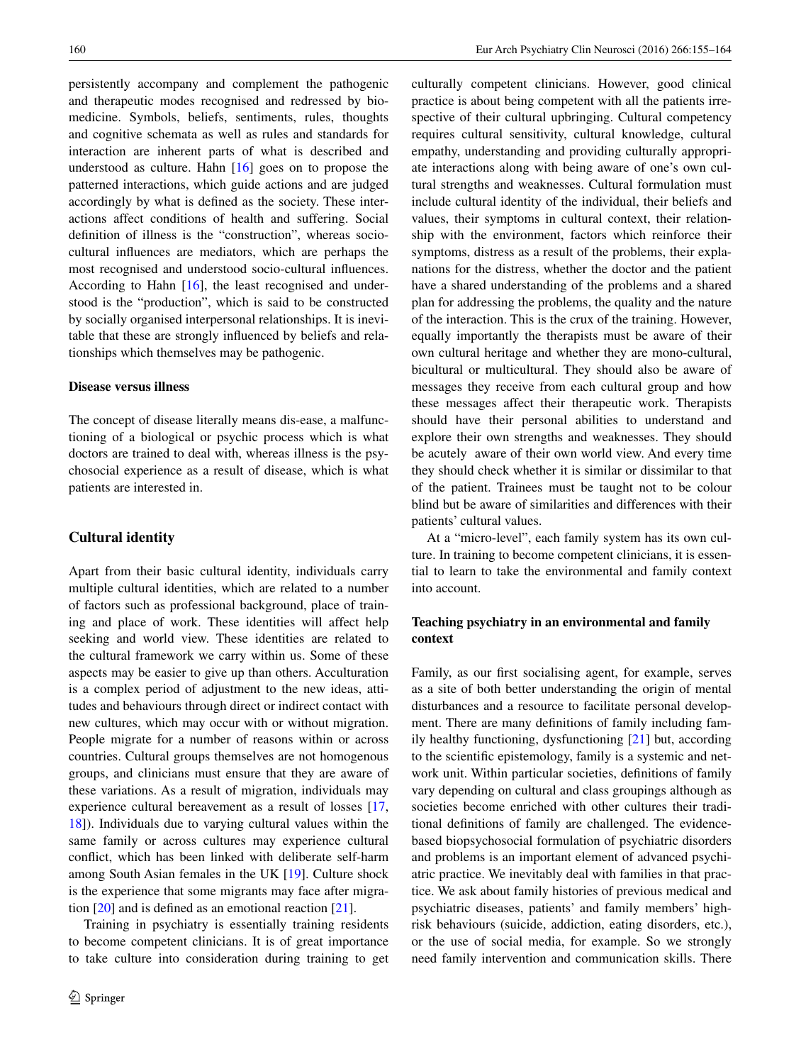persistently accompany and complement the pathogenic and therapeutic modes recognised and redressed by biomedicine. Symbols, beliefs, sentiments, rules, thoughts and cognitive schemata as well as rules and standards for interaction are inherent parts of what is described and understood as culture. Hahn [\[16](#page-9-14)] goes on to propose the patterned interactions, which guide actions and are judged accordingly by what is defined as the society. These interactions affect conditions of health and suffering. Social definition of illness is the "construction", whereas sociocultural influences are mediators, which are perhaps the most recognised and understood socio-cultural influences. According to Hahn [\[16](#page-9-14)], the least recognised and understood is the "production", which is said to be constructed by socially organised interpersonal relationships. It is inevitable that these are strongly influenced by beliefs and relationships which themselves may be pathogenic.

#### **Disease versus illness**

The concept of disease literally means dis-ease, a malfunctioning of a biological or psychic process which is what doctors are trained to deal with, whereas illness is the psychosocial experience as a result of disease, which is what patients are interested in.

### **Cultural identity**

Apart from their basic cultural identity, individuals carry multiple cultural identities, which are related to a number of factors such as professional background, place of training and place of work. These identities will affect help seeking and world view. These identities are related to the cultural framework we carry within us. Some of these aspects may be easier to give up than others. Acculturation is a complex period of adjustment to the new ideas, attitudes and behaviours through direct or indirect contact with new cultures, which may occur with or without migration. People migrate for a number of reasons within or across countries. Cultural groups themselves are not homogenous groups, and clinicians must ensure that they are aware of these variations. As a result of migration, individuals may experience cultural bereavement as a result of losses [[17,](#page-9-15) [18](#page-9-16)]). Individuals due to varying cultural values within the same family or across cultures may experience cultural conflict, which has been linked with deliberate self-harm among South Asian females in the UK [\[19](#page-9-17)]. Culture shock is the experience that some migrants may face after migration [\[20](#page-9-18)] and is defined as an emotional reaction [[21\]](#page-9-19).

Training in psychiatry is essentially training residents to become competent clinicians. It is of great importance to take culture into consideration during training to get culturally competent clinicians. However, good clinical practice is about being competent with all the patients irrespective of their cultural upbringing. Cultural competency requires cultural sensitivity, cultural knowledge, cultural empathy, understanding and providing culturally appropriate interactions along with being aware of one's own cultural strengths and weaknesses. Cultural formulation must include cultural identity of the individual, their beliefs and values, their symptoms in cultural context, their relationship with the environment, factors which reinforce their symptoms, distress as a result of the problems, their explanations for the distress, whether the doctor and the patient have a shared understanding of the problems and a shared plan for addressing the problems, the quality and the nature of the interaction. This is the crux of the training. However, equally importantly the therapists must be aware of their own cultural heritage and whether they are mono-cultural, bicultural or multicultural. They should also be aware of messages they receive from each cultural group and how these messages affect their therapeutic work. Therapists should have their personal abilities to understand and explore their own strengths and weaknesses. They should be acutely aware of their own world view. And every time they should check whether it is similar or dissimilar to that of the patient. Trainees must be taught not to be colour blind but be aware of similarities and differences with their patients' cultural values.

At a "micro-level", each family system has its own culture. In training to become competent clinicians, it is essential to learn to take the environmental and family context into account.

### **Teaching psychiatry in an environmental and family context**

Family, as our first socialising agent, for example, serves as a site of both better understanding the origin of mental disturbances and a resource to facilitate personal development. There are many definitions of family including family healthy functioning, dysfunctioning [\[21](#page-9-19)] but, according to the scientific epistemology, family is a systemic and network unit. Within particular societies, definitions of family vary depending on cultural and class groupings although as societies become enriched with other cultures their traditional definitions of family are challenged. The evidencebased biopsychosocial formulation of psychiatric disorders and problems is an important element of advanced psychiatric practice. We inevitably deal with families in that practice. We ask about family histories of previous medical and psychiatric diseases, patients' and family members' highrisk behaviours (suicide, addiction, eating disorders, etc.), or the use of social media, for example. So we strongly need family intervention and communication skills. There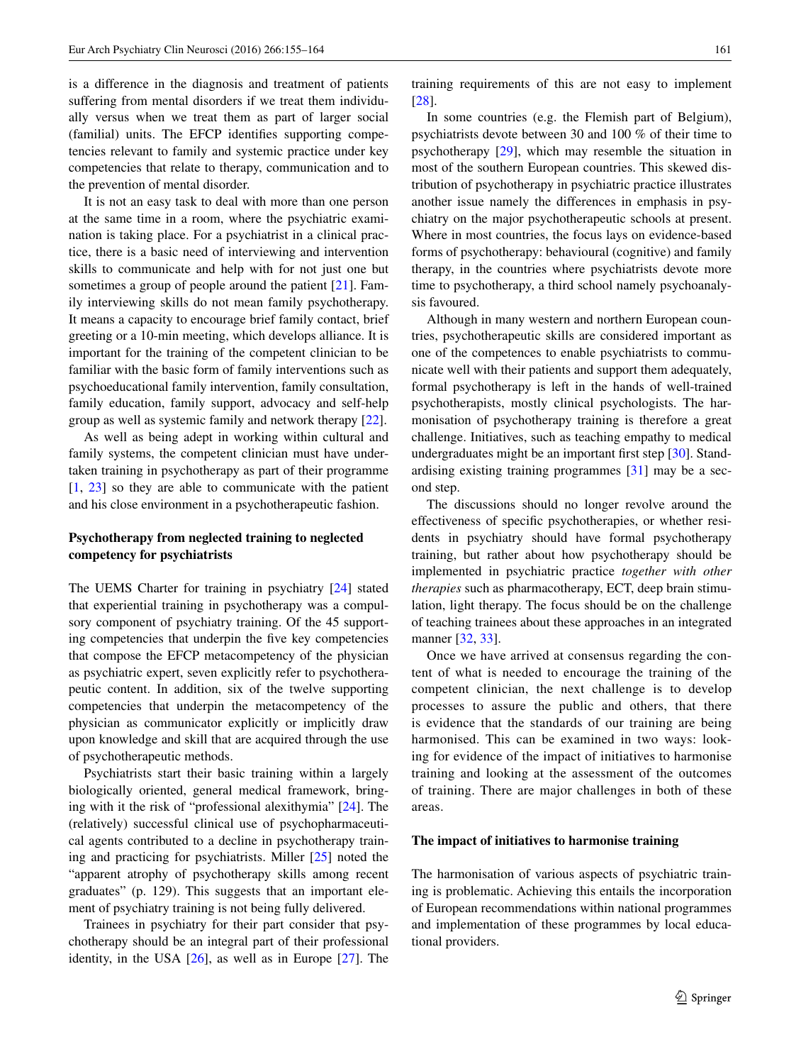is a difference in the diagnosis and treatment of patients suffering from mental disorders if we treat them individually versus when we treat them as part of larger social (familial) units. The EFCP identifies supporting competencies relevant to family and systemic practice under key competencies that relate to therapy, communication and to the prevention of mental disorder.

It is not an easy task to deal with more than one person at the same time in a room, where the psychiatric examination is taking place. For a psychiatrist in a clinical practice, there is a basic need of interviewing and intervention skills to communicate and help with for not just one but sometimes a group of people around the patient [[21\]](#page-9-19). Family interviewing skills do not mean family psychotherapy. It means a capacity to encourage brief family contact, brief greeting or a 10-min meeting, which develops alliance. It is important for the training of the competent clinician to be familiar with the basic form of family interventions such as psychoeducational family intervention, family consultation, family education, family support, advocacy and self-help group as well as systemic family and network therapy [\[22](#page-9-20)].

As well as being adept in working within cultural and family systems, the competent clinician must have undertaken training in psychotherapy as part of their programme [\[1](#page-9-0), [23\]](#page-9-21) so they are able to communicate with the patient and his close environment in a psychotherapeutic fashion.

### **Psychotherapy from neglected training to neglected competency for psychiatrists**

The UEMS Charter for training in psychiatry [\[24](#page-9-22)] stated that experiential training in psychotherapy was a compulsory component of psychiatry training. Of the 45 supporting competencies that underpin the five key competencies that compose the EFCP metacompetency of the physician as psychiatric expert, seven explicitly refer to psychotherapeutic content. In addition, six of the twelve supporting competencies that underpin the metacompetency of the physician as communicator explicitly or implicitly draw upon knowledge and skill that are acquired through the use of psychotherapeutic methods.

Psychiatrists start their basic training within a largely biologically oriented, general medical framework, bringing with it the risk of "professional alexithymia" [[24\]](#page-9-22). The (relatively) successful clinical use of psychopharmaceutical agents contributed to a decline in psychotherapy training and practicing for psychiatrists. Miller [[25\]](#page-9-23) noted the "apparent atrophy of psychotherapy skills among recent graduates" (p. 129). This suggests that an important element of psychiatry training is not being fully delivered.

Trainees in psychiatry for their part consider that psychotherapy should be an integral part of their professional identity, in the USA [[26\]](#page-9-24), as well as in Europe [\[27](#page-9-25)]. The training requirements of this are not easy to implement [\[28](#page-9-26)].

In some countries (e.g. the Flemish part of Belgium), psychiatrists devote between 30 and 100 % of their time to psychotherapy [[29\]](#page-9-27), which may resemble the situation in most of the southern European countries. This skewed distribution of psychotherapy in psychiatric practice illustrates another issue namely the differences in emphasis in psychiatry on the major psychotherapeutic schools at present. Where in most countries, the focus lays on evidence-based forms of psychotherapy: behavioural (cognitive) and family therapy, in the countries where psychiatrists devote more time to psychotherapy, a third school namely psychoanalysis favoured.

Although in many western and northern European countries, psychotherapeutic skills are considered important as one of the competences to enable psychiatrists to communicate well with their patients and support them adequately, formal psychotherapy is left in the hands of well-trained psychotherapists, mostly clinical psychologists. The harmonisation of psychotherapy training is therefore a great challenge. Initiatives, such as teaching empathy to medical undergraduates might be an important first step [[30\]](#page-9-28). Standardising existing training programmes [\[31](#page-9-29)] may be a second step.

The discussions should no longer revolve around the effectiveness of specific psychotherapies, or whether residents in psychiatry should have formal psychotherapy training, but rather about how psychotherapy should be implemented in psychiatric practice *together with other therapies* such as pharmacotherapy, ECT, deep brain stimulation, light therapy. The focus should be on the challenge of teaching trainees about these approaches in an integrated manner [[32,](#page-9-30) [33\]](#page-9-31).

Once we have arrived at consensus regarding the content of what is needed to encourage the training of the competent clinician, the next challenge is to develop processes to assure the public and others, that there is evidence that the standards of our training are being harmonised. This can be examined in two ways: looking for evidence of the impact of initiatives to harmonise training and looking at the assessment of the outcomes of training. There are major challenges in both of these areas.

#### **The impact of initiatives to harmonise training**

The harmonisation of various aspects of psychiatric training is problematic. Achieving this entails the incorporation of European recommendations within national programmes and implementation of these programmes by local educational providers.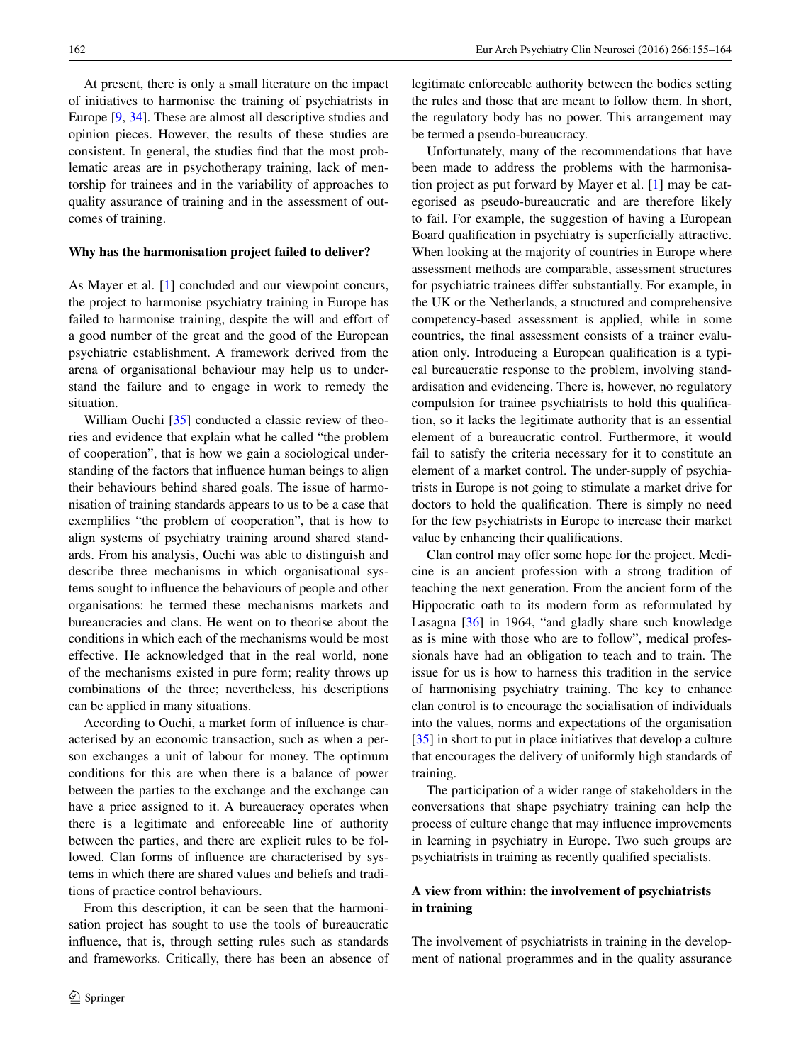At present, there is only a small literature on the impact of initiatives to harmonise the training of psychiatrists in Europe [[9,](#page-9-32) [34](#page-9-33)]. These are almost all descriptive studies and opinion pieces. However, the results of these studies are consistent. In general, the studies find that the most problematic areas are in psychotherapy training, lack of mentorship for trainees and in the variability of approaches to quality assurance of training and in the assessment of outcomes of training.

#### **Why has the harmonisation project failed to deliver?**

As Mayer et al. [[1\]](#page-9-0) concluded and our viewpoint concurs, the project to harmonise psychiatry training in Europe has failed to harmonise training, despite the will and effort of a good number of the great and the good of the European psychiatric establishment. A framework derived from the arena of organisational behaviour may help us to understand the failure and to engage in work to remedy the situation.

William Ouchi [[35\]](#page-9-34) conducted a classic review of theories and evidence that explain what he called "the problem of cooperation", that is how we gain a sociological understanding of the factors that influence human beings to align their behaviours behind shared goals. The issue of harmonisation of training standards appears to us to be a case that exemplifies "the problem of cooperation", that is how to align systems of psychiatry training around shared standards. From his analysis, Ouchi was able to distinguish and describe three mechanisms in which organisational systems sought to influence the behaviours of people and other organisations: he termed these mechanisms markets and bureaucracies and clans. He went on to theorise about the conditions in which each of the mechanisms would be most effective. He acknowledged that in the real world, none of the mechanisms existed in pure form; reality throws up combinations of the three; nevertheless, his descriptions can be applied in many situations.

According to Ouchi, a market form of influence is characterised by an economic transaction, such as when a person exchanges a unit of labour for money. The optimum conditions for this are when there is a balance of power between the parties to the exchange and the exchange can have a price assigned to it. A bureaucracy operates when there is a legitimate and enforceable line of authority between the parties, and there are explicit rules to be followed. Clan forms of influence are characterised by systems in which there are shared values and beliefs and traditions of practice control behaviours.

From this description, it can be seen that the harmonisation project has sought to use the tools of bureaucratic influence, that is, through setting rules such as standards and frameworks. Critically, there has been an absence of legitimate enforceable authority between the bodies setting the rules and those that are meant to follow them. In short, the regulatory body has no power. This arrangement may be termed a pseudo-bureaucracy.

Unfortunately, many of the recommendations that have been made to address the problems with the harmonisation project as put forward by Mayer et al. [\[1](#page-9-0)] may be categorised as pseudo-bureaucratic and are therefore likely to fail. For example, the suggestion of having a European Board qualification in psychiatry is superficially attractive. When looking at the majority of countries in Europe where assessment methods are comparable, assessment structures for psychiatric trainees differ substantially. For example, in the UK or the Netherlands, a structured and comprehensive competency-based assessment is applied, while in some countries, the final assessment consists of a trainer evaluation only. Introducing a European qualification is a typical bureaucratic response to the problem, involving standardisation and evidencing. There is, however, no regulatory compulsion for trainee psychiatrists to hold this qualification, so it lacks the legitimate authority that is an essential element of a bureaucratic control. Furthermore, it would fail to satisfy the criteria necessary for it to constitute an element of a market control. The under-supply of psychiatrists in Europe is not going to stimulate a market drive for doctors to hold the qualification. There is simply no need for the few psychiatrists in Europe to increase their market value by enhancing their qualifications.

Clan control may offer some hope for the project. Medicine is an ancient profession with a strong tradition of teaching the next generation. From the ancient form of the Hippocratic oath to its modern form as reformulated by Lasagna [[36\]](#page-9-35) in 1964, "and gladly share such knowledge as is mine with those who are to follow", medical professionals have had an obligation to teach and to train. The issue for us is how to harness this tradition in the service of harmonising psychiatry training. The key to enhance clan control is to encourage the socialisation of individuals into the values, norms and expectations of the organisation [\[35](#page-9-34)] in short to put in place initiatives that develop a culture that encourages the delivery of uniformly high standards of training.

The participation of a wider range of stakeholders in the conversations that shape psychiatry training can help the process of culture change that may influence improvements in learning in psychiatry in Europe. Two such groups are psychiatrists in training as recently qualified specialists.

# **A view from within: the involvement of psychiatrists in training**

The involvement of psychiatrists in training in the development of national programmes and in the quality assurance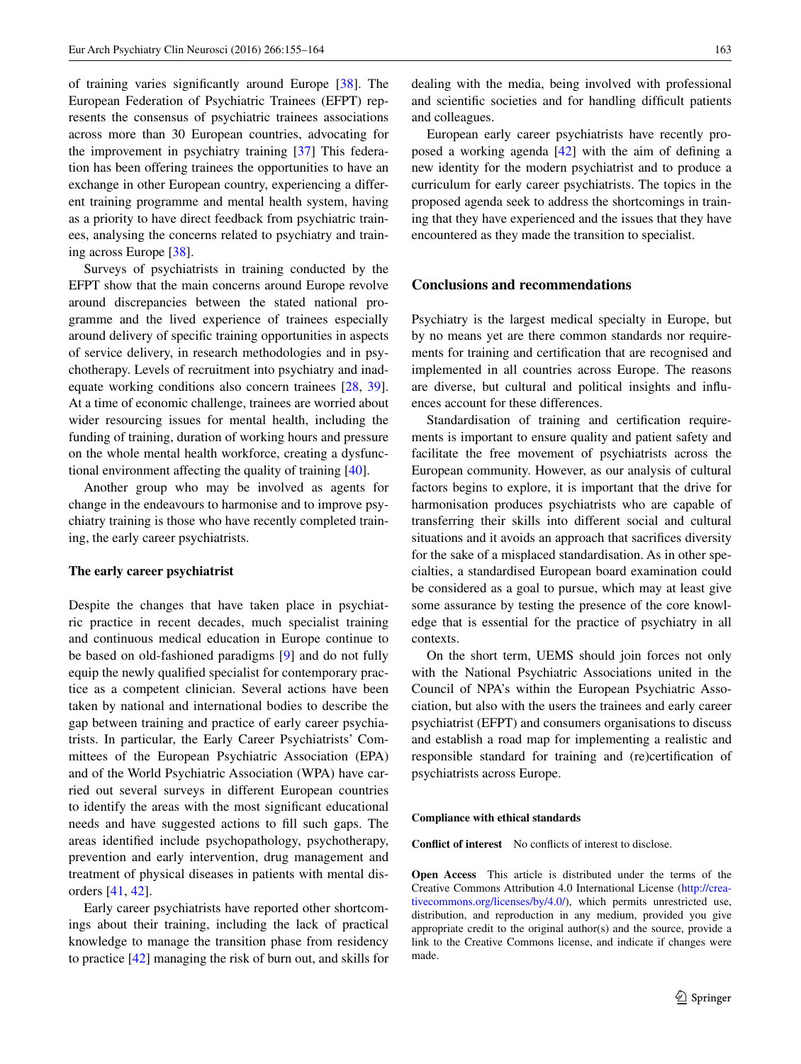of training varies significantly around Europe [\[38](#page-9-36)]. The European Federation of Psychiatric Trainees (EFPT) represents the consensus of psychiatric trainees associations across more than 30 European countries, advocating for the improvement in psychiatry training [\[37](#page-9-37)] This federation has been offering trainees the opportunities to have an exchange in other European country, experiencing a different training programme and mental health system, having as a priority to have direct feedback from psychiatric trainees, analysing the concerns related to psychiatry and training across Europe [[38\]](#page-9-36).

Surveys of psychiatrists in training conducted by the EFPT show that the main concerns around Europe revolve around discrepancies between the stated national programme and the lived experience of trainees especially around delivery of specific training opportunities in aspects of service delivery, in research methodologies and in psychotherapy. Levels of recruitment into psychiatry and inadequate working conditions also concern trainees [\[28](#page-9-26), [39](#page-9-38)]. At a time of economic challenge, trainees are worried about wider resourcing issues for mental health, including the funding of training, duration of working hours and pressure on the whole mental health workforce, creating a dysfunctional environment affecting the quality of training [[40\]](#page-9-39).

Another group who may be involved as agents for change in the endeavours to harmonise and to improve psychiatry training is those who have recently completed training, the early career psychiatrists.

#### **The early career psychiatrist**

Despite the changes that have taken place in psychiatric practice in recent decades, much specialist training and continuous medical education in Europe continue to be based on old-fashioned paradigms [[9](#page-9-32)] and do not fully equip the newly qualified specialist for contemporary practice as a competent clinician. Several actions have been taken by national and international bodies to describe the gap between training and practice of early career psychiatrists. In particular, the Early Career Psychiatrists' Committees of the European Psychiatric Association (EPA) and of the World Psychiatric Association (WPA) have carried out several surveys in different European countries to identify the areas with the most significant educational needs and have suggested actions to fill such gaps. The areas identified include psychopathology, psychotherapy, prevention and early intervention, drug management and treatment of physical diseases in patients with mental disorders [\[41](#page-9-40), [42\]](#page-9-41).

Early career psychiatrists have reported other shortcomings about their training, including the lack of practical knowledge to manage the transition phase from residency to practice [[42\]](#page-9-41) managing the risk of burn out, and skills for dealing with the media, being involved with professional and scientific societies and for handling difficult patients and colleagues.

European early career psychiatrists have recently proposed a working agenda [\[42](#page-9-41)] with the aim of defining a new identity for the modern psychiatrist and to produce a curriculum for early career psychiatrists. The topics in the proposed agenda seek to address the shortcomings in training that they have experienced and the issues that they have encountered as they made the transition to specialist.

### **Conclusions and recommendations**

Psychiatry is the largest medical specialty in Europe, but by no means yet are there common standards nor requirements for training and certification that are recognised and implemented in all countries across Europe. The reasons are diverse, but cultural and political insights and influences account for these differences.

Standardisation of training and certification requirements is important to ensure quality and patient safety and facilitate the free movement of psychiatrists across the European community. However, as our analysis of cultural factors begins to explore, it is important that the drive for harmonisation produces psychiatrists who are capable of transferring their skills into different social and cultural situations and it avoids an approach that sacrifices diversity for the sake of a misplaced standardisation. As in other specialties, a standardised European board examination could be considered as a goal to pursue, which may at least give some assurance by testing the presence of the core knowledge that is essential for the practice of psychiatry in all contexts.

On the short term, UEMS should join forces not only with the National Psychiatric Associations united in the Council of NPA's within the European Psychiatric Association, but also with the users the trainees and early career psychiatrist (EFPT) and consumers organisations to discuss and establish a road map for implementing a realistic and responsible standard for training and (re)certification of psychiatrists across Europe.

#### **Compliance with ethical standards**

**Conflict of interest** No conflicts of interest to disclose.

**Open Access** This article is distributed under the terms of the Creative Commons Attribution 4.0 International License ([http://crea](http://creativecommons.org/licenses/by/4.0/)[tivecommons.org/licenses/by/4.0/](http://creativecommons.org/licenses/by/4.0/)), which permits unrestricted use, distribution, and reproduction in any medium, provided you give appropriate credit to the original author(s) and the source, provide a link to the Creative Commons license, and indicate if changes were made.